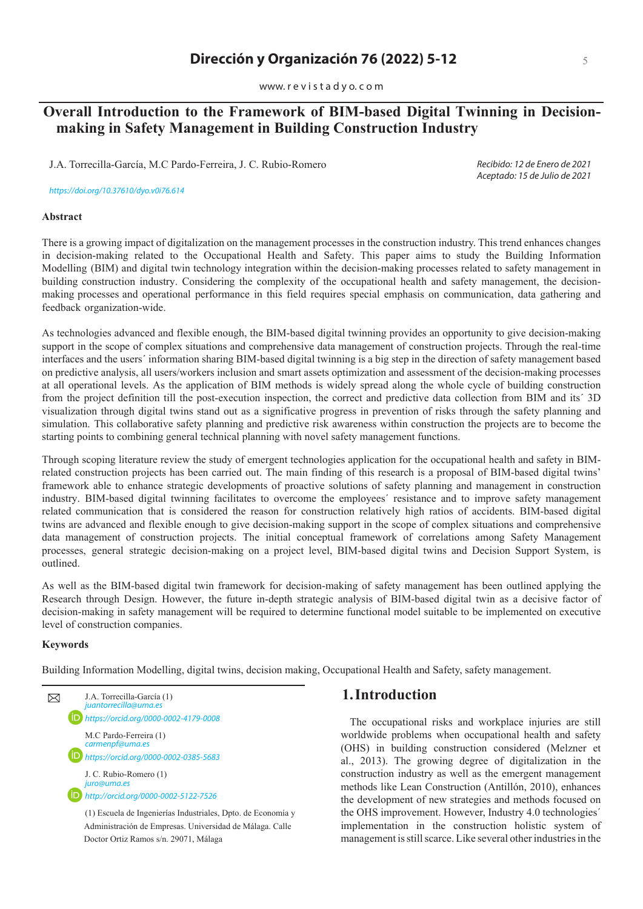www. r e v i s t a d y o. c o m

# **Overall Introduction to the Framework of BIM-based Digital Twinning in Decisionmaking in Safety Management in Building Construction Industry**

J.A. Torrecilla-García, M.C Pardo-Ferreira, J. C. Rubio-Romero

*Recibido: 12 de Enero de 2021 Aceptado: 15 de Julio de 2021*

*https://doi.org/10.37610/dyo.v0i7*6*.*614

#### **Abstract**

There is a growing impact of digitalization on the management processes in the construction industry. This trend enhances changes in decision-making related to the Occupational Health and Safety. This paper aims to study the Building Information Modelling (BIM) and digital twin technology integration within the decision-making processes related to safety management in building construction industry. Considering the complexity of the occupational health and safety management, the decisionmaking processes and operational performance in this field requires special emphasis on communication, data gathering and feedback organization-wide.

As technologies advanced and flexible enough, the BIM-based digital twinning provides an opportunity to give decision-making support in the scope of complex situations and comprehensive data management of construction projects. Through the real-time interfaces and the users´ information sharing BIM-based digital twinning is a big step in the direction of safety management based on predictive analysis, all users/workers inclusion and smart assets optimization and assessment of the decision-making processes at all operational levels. As the application of BIM methods is widely spread along the whole cycle of building construction from the project definition till the post-execution inspection, the correct and predictive data collection from BIM and its´ 3D visualization through digital twins stand out as a significative progress in prevention of risks through the safety planning and simulation. This collaborative safety planning and predictive risk awareness within construction the projects are to become the starting points to combining general technical planning with novel safety management functions.

Through scoping literature review the study of emergent technologies application for the occupational health and safety in BIMrelated construction projects has been carried out. The main finding of this research is a proposal of BIM-based digital twins' framework able to enhance strategic developments of proactive solutions of safety planning and management in construction industry. BIM-based digital twinning facilitates to overcome the employees´ resistance and to improve safety management related communication that is considered the reason for construction relatively high ratios of accidents. BIM-based digital twins are advanced and flexible enough to give decision-making support in the scope of complex situations and comprehensive data management of construction projects. The initial conceptual framework of correlations among Safety Management processes, general strategic decision-making on a project level, BIM-based digital twins and Decision Support System, is outlined.

As well as the BIM-based digital twin framework for decision-making of safety management has been outlined applying the Research through Design. However, the future in-depth strategic analysis of BIM-based digital twin as a decisive factor of decision-making in safety management will be required to determine functional model suitable to be implemented on executive level of construction companies.

#### **Keywords**

Building Information Modelling, digital twins, decision making, Occupational Health and Safety, safety management.



Administración de Empresas. Universidad de Málaga. Calle Doctor Ortiz Ramos s/n. 29071, Málaga

### **1.Introduction**

The occupational risks and workplace injuries are still worldwide problems when occupational health and safety (OHS) in building construction considered (Melzner et al., 2013). The growing degree of digitalization in the construction industry as well as the emergent management methods like Lean Construction (Antillón, 2010), enhances the development of new strategies and methods focused on the OHS improvement. However, Industry 4.0 technologies´ implementation in the construction holistic system of management is still scarce. Like several other industries in the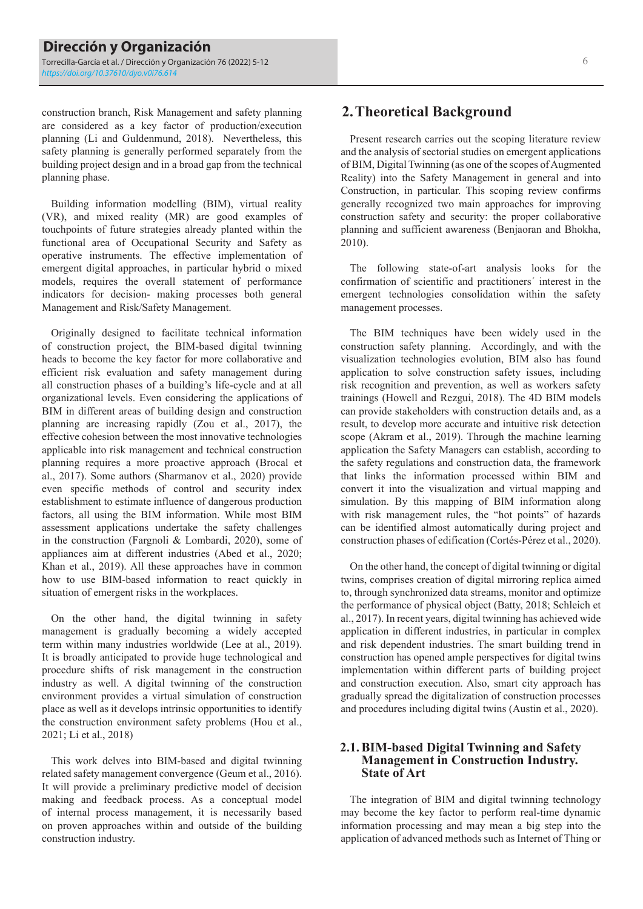construction branch, Risk Management and safety planning are considered as a key factor of production/execution planning (Li and Guldenmund, 2018). Nevertheless, this safety planning is generally performed separately from the building project design and in a broad gap from the technical planning phase.

Building information modelling (BIM), virtual reality (VR), and mixed reality (MR) are good examples of touchpoints of future strategies already planted within the functional area of Occupational Security and Safety as operative instruments. The effective implementation of emergent digital approaches, in particular hybrid o mixed models, requires the overall statement of performance indicators for decision- making processes both general Management and Risk/Safety Management.

Originally designed to facilitate technical information of construction project, the BIM-based digital twinning heads to become the key factor for more collaborative and efficient risk evaluation and safety management during all construction phases of a building's life-cycle and at all organizational levels. Even considering the applications of BIM in different areas of building design and construction planning are increasing rapidly (Zou et al., 2017), the effective cohesion between the most innovative technologies applicable into risk management and technical construction planning requires a more proactive approach (Brocal et al., 2017). Some authors (Sharmanov et al., 2020) provide even specific methods of control and security index establishment to estimate influence of dangerous production factors, all using the BIM information. While most BIM assessment applications undertake the safety challenges in the construction (Fargnoli & Lombardi, 2020), some of appliances aim at different industries (Abed et al., 2020; Khan et al., 2019). All these approaches have in common how to use BIM-based information to react quickly in situation of emergent risks in the workplaces.

On the other hand, the digital twinning in safety management is gradually becoming a widely accepted term within many industries worldwide (Lee at al., 2019). It is broadly anticipated to provide huge technological and procedure shifts of risk management in the construction industry as well. A digital twinning of the construction environment provides a virtual simulation of construction place as well as it develops intrinsic opportunities to identify the construction environment safety problems (Hou et al., 2021; Li et al., 2018)

This work delves into BIM-based and digital twinning related safety management convergence (Geum et al., 2016). It will provide a preliminary predictive model of decision making and feedback process. As a conceptual model of internal process management, it is necessarily based on proven approaches within and outside of the building construction industry.

## **2.Theoretical Background**

Present research carries out the scoping literature review and the analysis of sectorial studies on emergent applications of BIM, Digital Twinning (as one of the scopes of Augmented Reality) into the Safety Management in general and into Construction, in particular. This scoping review confirms generally recognized two main approaches for improving construction safety and security: the proper collaborative planning and sufficient awareness (Benjaoran and Bhokha, 2010).

The following state-of-art analysis looks for the confirmation of scientific and practitioners´ interest in the emergent technologies consolidation within the safety management processes.

The BIM techniques have been widely used in the construction safety planning. Accordingly, and with the visualization technologies evolution, BIM also has found application to solve construction safety issues, including risk recognition and prevention, as well as workers safety trainings (Howell and Rezgui, 2018). The 4D BIM models can provide stakeholders with construction details and, as a result, to develop more accurate and intuitive risk detection scope (Akram et al., 2019). Through the machine learning application the Safety Managers can establish, according to the safety regulations and construction data, the framework that links the information processed within BIM and convert it into the visualization and virtual mapping and simulation. By this mapping of BIM information along with risk management rules, the "hot points" of hazards can be identified almost automatically during project and construction phases of edification (Cortés-Pérez et al., 2020).

On the other hand, the concept of digital twinning or digital twins, comprises creation of digital mirroring replica aimed to, through synchronized data streams, monitor and optimize the performance of physical object (Batty, 2018; Schleich et al., 2017). In recent years, digital twinning has achieved wide application in different industries, in particular in complex and risk dependent industries. The smart building trend in construction has opened ample perspectives for digital twins implementation within different parts of building project and construction execution. Also, smart city approach has gradually spread the digitalization of construction processes and procedures including digital twins (Austin et al., 2020).

#### **2.1.BIM-based Digital Twinning and Safety Management in Construction Industry. State of Art**

The integration of BIM and digital twinning technology may become the key factor to perform real-time dynamic information processing and may mean a big step into the application of advanced methods such as Internet of Thing or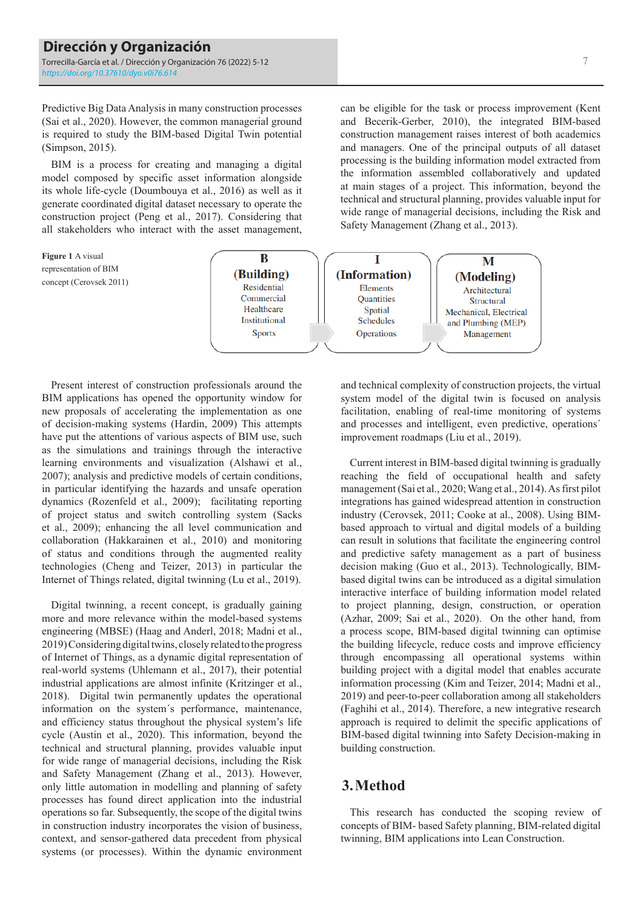Predictive Big Data Analysis in many construction processes (Sai et al., 2020). However, the common managerial ground is required to study the BIM-based Digital Twin potential (Simpson, 2015).

BIM is a process for creating and managing a digital model composed by specific asset information alongside its whole life-cycle (Doumbouya et al., 2016) as well as it generate coordinated digital dataset necessary to operate the construction project (Peng et al., 2017). Considering that all stakeholders who interact with the asset management,

**Figure 1** A visual B T M representation of BIM (Building) (Information) (Modeling) concept (Cerovsek 2011) Residential Elements Architectural Commercial Quantities Structural Healthcare Spatial Mechanical, Electrical Institutional Schedules and Plumbing (MEP) **Sports** Operations Management

Present interest of construction professionals around the BIM applications has opened the opportunity window for new proposals of accelerating the implementation as one of decision-making systems (Hardin, 2009) This attempts have put the attentions of various aspects of BIM use, such as the simulations and trainings through the interactive learning environments and visualization (Alshawi et al., 2007); analysis and predictive models of certain conditions, in particular identifying the hazards and unsafe operation dynamics (Rozenfeld et al., 2009); facilitating reporting of project status and switch controlling system (Sacks et al., 2009); enhancing the all level communication and collaboration (Hakkarainen et al., 2010) and monitoring of status and conditions through the augmented reality technologies (Cheng and Teizer, 2013) in particular the Internet of Things related, digital twinning (Lu et al., 2019).

Digital twinning, a recent concept, is gradually gaining more and more relevance within the model-based systems engineering (MBSE) (Haag and Anderl, 2018; Madni et al., 2019) Considering digital twins, closely related to the progress of Internet of Things, as a dynamic digital representation of real-world systems (Uhlemann et al., 2017), their potential industrial applications are almost infinite (Kritzinger et al., 2018). Digital twin permanently updates the operational information on the system´s performance, maintenance, and efficiency status throughout the physical system's life cycle (Austin et al., 2020). This information, beyond the technical and structural planning, provides valuable input for wide range of managerial decisions, including the Risk and Safety Management (Zhang et al., 2013). However, only little automation in modelling and planning of safety processes has found direct application into the industrial operations so far. Subsequently, the scope of the digital twins in construction industry incorporates the vision of business, context, and sensor-gathered data precedent from physical systems (or processes). Within the dynamic environment and technical complexity of construction projects, the virtual system model of the digital twin is focused on analysis facilitation, enabling of real-time monitoring of systems and processes and intelligent, even predictive, operations´ improvement roadmaps (Liu et al., 2019).

can be eligible for the task or process improvement (Kent and Becerik-Gerber, 2010), the integrated BIM-based construction management raises interest of both academics and managers. One of the principal outputs of all dataset processing is the building information model extracted from the information assembled collaboratively and updated at main stages of a project. This information, beyond the technical and structural planning, provides valuable input for wide range of managerial decisions, including the Risk and

Safety Management (Zhang et al., 2013).

Current interest in BIM-based digital twinning is gradually reaching the field of occupational health and safety management (Sai et al., 2020; Wang et al., 2014). As first pilot integrations has gained widespread attention in construction industry (Cerovsek, 2011; Cooke at al., 2008). Using BIMbased approach to virtual and digital models of a building can result in solutions that facilitate the engineering control and predictive safety management as a part of business decision making (Guo et al., 2013). Technologically, BIMbased digital twins can be introduced as a digital simulation interactive interface of building information model related to project planning, design, construction, or operation (Azhar, 2009; Sai et al., 2020). On the other hand, from a process scope, BIM-based digital twinning can optimise the building lifecycle, reduce costs and improve efficiency through encompassing all operational systems within building project with a digital model that enables accurate information processing (Kim and Teizer, 2014; Madni et al., 2019) and peer-to-peer collaboration among all stakeholders (Faghihi et al., 2014). Therefore, a new integrative research approach is required to delimit the specific applications of BIM-based digital twinning into Safety Decision-making in building construction.

# **3.Method**

This research has conducted the scoping review of concepts of BIM- based Safety planning, BIM-related digital twinning, BIM applications into Lean Construction.

## 7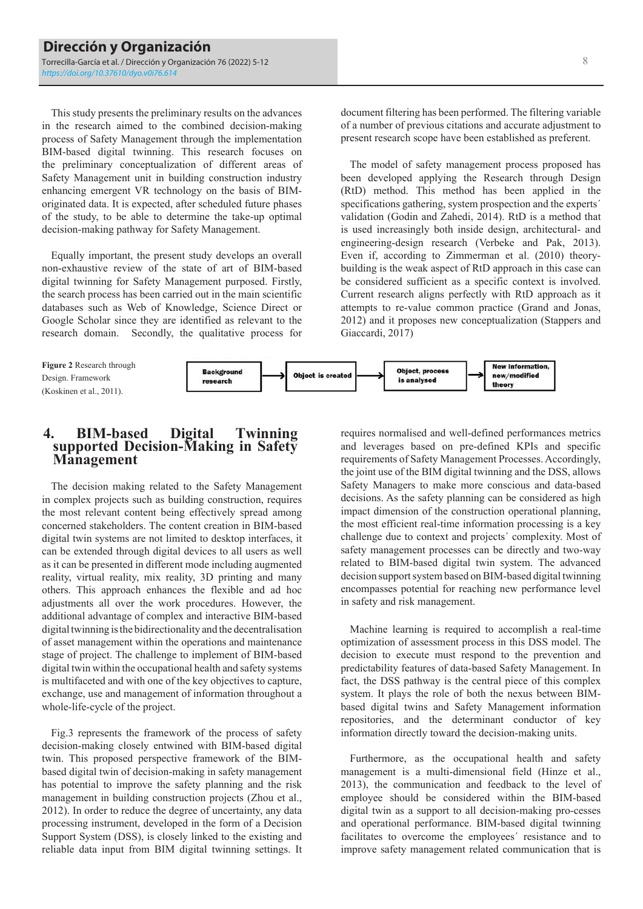This study presents the preliminary results on the advances in the research aimed to the combined decision-making process of Safety Management through the implementation BIM-based digital twinning. This research focuses on the preliminary conceptualization of different areas of Safety Management unit in building construction industry enhancing emergent VR technology on the basis of BIMoriginated data. It is expected, after scheduled future phases of the study, to be able to determine the take-up optimal decision-making pathway for Safety Management.

Equally important, the present study develops an overall non-exhaustive review of the state of art of BIM-based digital twinning for Safety Management purposed. Firstly, the search process has been carried out in the main scientific databases such as Web of Knowledge, Science Direct or Google Scholar since they are identified as relevant to the research domain. Secondly, the qualitative process for document filtering has been performed. The filtering variable of a number of previous citations and accurate adjustment to present research scope have been established as preferent.

The model of safety management process proposed has been developed applying the Research through Design (RtD) method. This method has been applied in the specifications gathering, system prospection and the experts´ validation (Godin and Zahedi, 2014). RtD is a method that is used increasingly both inside design, architectural- and engineering-design research (Verbeke and Pak, 2013). Even if, according to Zimmerman et al. (2010) theorybuilding is the weak aspect of RtD approach in this case can be considered sufficient as a specific context is involved. Current research aligns perfectly with RtD approach as it attempts to re-value common practice (Grand and Jonas, 2012) and it proposes new conceptualization (Stappers and Giaccardi, 2017)

**Figure 2** Research through Design. Framework (Koskinen et al., 2011).



## **4. BIM-based Digital Twinning supported Decision-Making in Safety Management**

The decision making related to the Safety Management in complex projects such as building construction, requires the most relevant content being effectively spread among concerned stakeholders. The content creation in BIM-based digital twin systems are not limited to desktop interfaces, it can be extended through digital devices to all users as well as it can be presented in different mode including augmented reality, virtual reality, mix reality, 3D printing and many others. This approach enhances the flexible and ad hoc adjustments all over the work procedures. However, the additional advantage of complex and interactive BIM-based digital twinning is the bidirectionality and the decentralisation of asset management within the operations and maintenance stage of project. The challenge to implement of BIM-based digital twin within the occupational health and safety systems is multifaceted and with one of the key objectives to capture, exchange, use and management of information throughout a whole-life-cycle of the project.

Fig.3 represents the framework of the process of safety decision-making closely entwined with BIM-based digital twin. This proposed perspective framework of the BIMbased digital twin of decision-making in safety management has potential to improve the safety planning and the risk management in building construction projects (Zhou et al., 2012). In order to reduce the degree of uncertainty, any data processing instrument, developed in the form of a Decision Support System (DSS), is closely linked to the existing and reliable data input from BIM digital twinning settings. It

requires normalised and well-defined performances metrics and leverages based on pre-defined KPIs and specific requirements of Safety Management Processes. Accordingly, the joint use of the BIM digital twinning and the DSS, allows Safety Managers to make more conscious and data-based decisions. As the safety planning can be considered as high impact dimension of the construction operational planning, the most efficient real-time information processing is a key challenge due to context and projects´ complexity. Most of safety management processes can be directly and two-way related to BIM-based digital twin system. The advanced decision support system based on BIM-based digital twinning encompasses potential for reaching new performance level in safety and risk management.

Machine learning is required to accomplish a real-time optimization of assessment process in this DSS model. The decision to execute must respond to the prevention and predictability features of data-based Safety Management. In fact, the DSS pathway is the central piece of this complex system. It plays the role of both the nexus between BIMbased digital twins and Safety Management information repositories, and the determinant conductor of key information directly toward the decision-making units.

Furthermore, as the occupational health and safety management is a multi-dimensional field (Hinze et al., 2013), the communication and feedback to the level of employee should be considered within the BIM-based digital twin as a support to all decision-making pro-cesses and operational performance. BIM-based digital twinning facilitates to overcome the employees´ resistance and to improve safety management related communication that is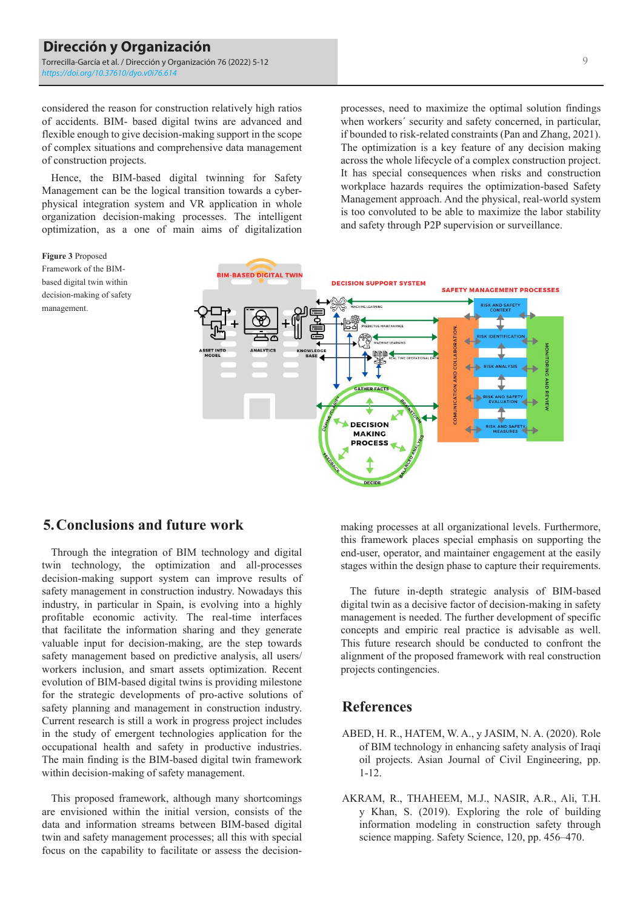considered the reason for construction relatively high ratios of accidents. BIM- based digital twins are advanced and flexible enough to give decision-making support in the scope of complex situations and comprehensive data management of construction projects.

Hence, the BIM-based digital twinning for Safety Management can be the logical transition towards a cyberphysical integration system and VR application in whole organization decision-making processes. The intelligent optimization, as a one of main aims of digitalization

**Figure 3** Proposed Framework of the BIMbased digital twin within decision-making of safety

management.

processes, need to maximize the optimal solution findings when workers' security and safety concerned, in particular, if bounded to risk-related constraints (Pan and Zhang, 2021). The optimization is a key feature of any decision making across the whole lifecycle of a complex construction project. It has special consequences when risks and construction workplace hazards requires the optimization-based Safety Management approach. And the physical, real-world system is too convoluted to be able to maximize the labor stability and safety through P2P supervision or surveillance.



## **5.Conclusions and future work**

Through the integration of BIM technology and digital twin technology, the optimization and all-processes decision-making support system can improve results of safety management in construction industry. Nowadays this industry, in particular in Spain, is evolving into a highly profitable economic activity. The real-time interfaces that facilitate the information sharing and they generate valuable input for decision-making, are the step towards safety management based on predictive analysis, all users/ workers inclusion, and smart assets optimization. Recent evolution of BIM-based digital twins is providing milestone for the strategic developments of pro-active solutions of safety planning and management in construction industry. Current research is still a work in progress project includes in the study of emergent technologies application for the occupational health and safety in productive industries. The main finding is the BIM-based digital twin framework within decision-making of safety management.

This proposed framework, although many shortcomings are envisioned within the initial version, consists of the data and information streams between BIM-based digital twin and safety management processes; all this with special focus on the capability to facilitate or assess the decisionmaking processes at all organizational levels. Furthermore, this framework places special emphasis on supporting the end-user, operator, and maintainer engagement at the easily stages within the design phase to capture their requirements.

The future in-depth strategic analysis of BIM-based digital twin as a decisive factor of decision-making in safety management is needed. The further development of specific concepts and empiric real practice is advisable as well. This future research should be conducted to confront the alignment of the proposed framework with real construction projects contingencies.

## **References**

- ABED, H. R., HATEM, W. A., y JASIM, N. A. (2020). Role of BIM technology in enhancing safety analysis of Iraqi oil projects. Asian Journal of Civil Engineering, pp. 1-12.
- AKRAM, R., THAHEEM, M.J., NASIR, A.R., Ali, T.H. y Khan, S. (2019). Exploring the role of building information modeling in construction safety through science mapping. Safety Science, 120, pp. 456–470.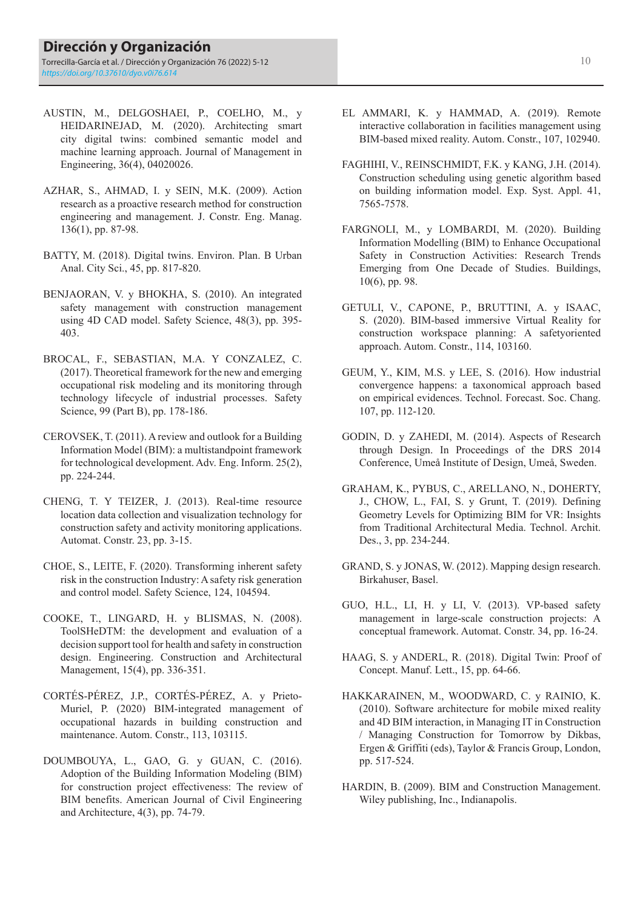- AUSTIN, M., DELGOSHAEI, P., COELHO, M., y HEIDARINEJAD, M. (2020). Architecting smart city digital twins: combined semantic model and machine learning approach. Journal of Management in Engineering, 36(4), 04020026.
- AZHAR, S., AHMAD, I. y SEIN, M.K. (2009). Action research as a proactive research method for construction engineering and management. J. Constr. Eng. Manag. 136(1), pp. 87-98.
- BATTY, M. (2018). Digital twins. Environ. Plan. B Urban Anal. City Sci., 45, pp. 817-820.
- BENJAORAN, V. y BHOKHA, S. (2010). An integrated safety management with construction management using 4D CAD model. Safety Science, 48(3), pp. 395- 403.
- BROCAL, F., SEBASTIAN, M.A. Y CONZALEZ, C. (2017). Theoretical framework for the new and emerging occupational risk modeling and its monitoring through technology lifecycle of industrial processes. Safety Science, 99 (Part B), pp. 178-186.
- CEROVSEK, T. (2011). A review and outlook for a Building Information Model (BIM): a multistandpoint framework for technological development. Adv. Eng. Inform. 25(2), pp. 224-244.
- CHENG, T. Y TEIZER, J. (2013). Real-time resource location data collection and visualization technology for construction safety and activity monitoring applications. Automat. Constr. 23, pp. 3-15.
- CHOE, S., LEITE, F. (2020). Transforming inherent safety risk in the construction Industry: A safety risk generation and control model. Safety Science, 124, 104594.
- COOKE, T., LINGARD, H. y BLISMAS, N. (2008). ToolSHeDTM: the development and evaluation of a decision support tool for health and safety in construction design. Engineering. Construction and Architectural Management, 15(4), pp. 336-351.
- CORTÉS-PÉREZ, J.P., CORTÉS-PÉREZ, A. y Prieto-Muriel, P. (2020) BIM-integrated management of occupational hazards in building construction and maintenance. Autom. Constr., 113, 103115.
- DOUMBOUYA, L., GAO, G. y GUAN, C. (2016). Adoption of the Building Information Modeling (BIM) for construction project effectiveness: The review of BIM benefits. American Journal of Civil Engineering and Architecture, 4(3), pp. 74-79.
- EL AMMARI, K. y HAMMAD, A. (2019). Remote interactive collaboration in facilities management using BIM-based mixed reality. Autom. Constr., 107, 102940.
- FAGHIHI, V., REINSCHMIDT, F.K. y KANG, J.H. (2014). Construction scheduling using genetic algorithm based on building information model. Exp. Syst. Appl. 41, 7565-7578.
- FARGNOLI, M., y LOMBARDI, M. (2020). Building Information Modelling (BIM) to Enhance Occupational Safety in Construction Activities: Research Trends Emerging from One Decade of Studies. Buildings, 10(6), pp. 98.
- GETULI, V., CAPONE, P., BRUTTINI, A. y ISAAC, S. (2020). BIM-based immersive Virtual Reality for construction workspace planning: A safetyoriented approach. Autom. Constr., 114, 103160.
- GEUM, Y., KIM, M.S. y LEE, S. (2016). How industrial convergence happens: a taxonomical approach based on empirical evidences. Technol. Forecast. Soc. Chang. 107, pp. 112-120.
- GODIN, D. y ZAHEDI, M. (2014). Aspects of Research through Design. In Proceedings of the DRS 2014 Conference, Umeå Institute of Design, Umeå, Sweden.
- GRAHAM, K., PYBUS, C., ARELLANO, N., DOHERTY, J., CHOW, L., FAI, S. y Grunt, T. (2019). Defining Geometry Levels for Optimizing BIM for VR: Insights from Traditional Architectural Media. Technol. Archit. Des., 3, pp. 234-244.
- GRAND, S. y JONAS, W. (2012). Mapping design research. Birkahuser, Basel.
- GUO, H.L., LI, H. y LI, V. (2013). VP-based safety management in large-scale construction projects: A conceptual framework. Automat. Constr. 34, pp. 16-24.
- HAAG, S. y ANDERL, R. (2018). Digital Twin: Proof of Concept. Manuf. Lett., 15, pp. 64-66.
- HAKKARAINEN, M., WOODWARD, C. y RAINIO, K. (2010). Software architecture for mobile mixed reality and 4D BIM interaction, in Managing IT in Construction / Managing Construction for Tomorrow by Dikbas, Ergen & Griffiti (eds), Taylor & Francis Group, London, pp. 517-524.
- HARDIN, B. (2009). BIM and Construction Management. Wiley publishing, Inc., Indianapolis.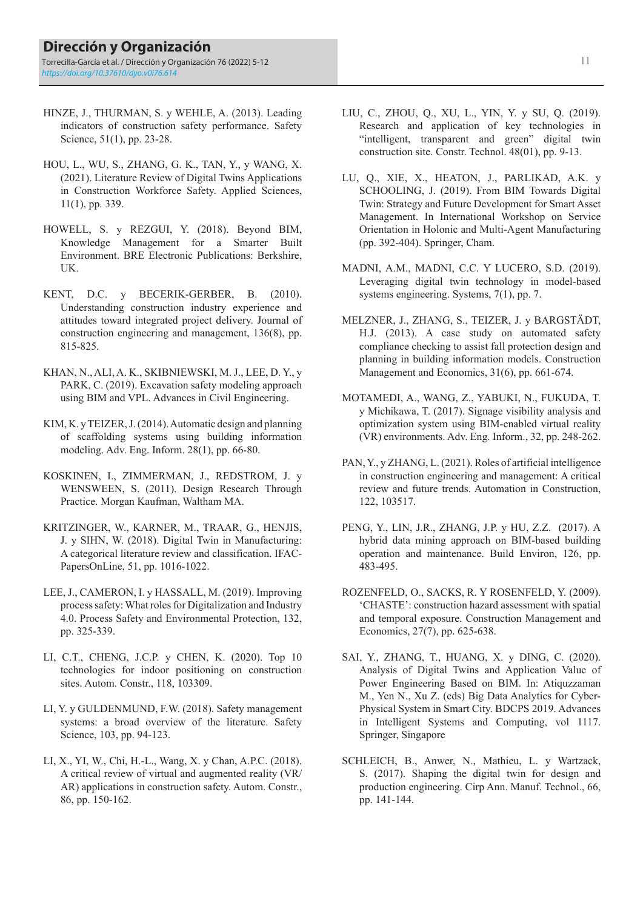- HINZE, J., THURMAN, S. y WEHLE, A. (2013). Leading indicators of construction safety performance. Safety Science, 51(1), pp. 23-28.
- HOU, L., WU, S., ZHANG, G. K., TAN, Y., y WANG, X. (2021). Literature Review of Digital Twins Applications in Construction Workforce Safety. Applied Sciences, 11(1), pp. 339.
- HOWELL, S. y REZGUI, Y. (2018). Beyond BIM, Knowledge Management for a Smarter Built Environment. BRE Electronic Publications: Berkshire, UK.
- KENT, D.C. y BECERIK-GERBER, B. (2010). Understanding construction industry experience and attitudes toward integrated project delivery. Journal of construction engineering and management, 136(8), pp. 815-825.
- KHAN, N., ALI, A. K., SKIBNIEWSKI, M. J., LEE, D. Y., y PARK, C. (2019). Excavation safety modeling approach using BIM and VPL. Advances in Civil Engineering.
- KIM, K. y TEIZER, J. (2014). Automatic design and planning of scaffolding systems using building information modeling. Adv. Eng. Inform. 28(1), pp. 66-80.
- KOSKINEN, I., ZIMMERMAN, J., REDSTROM, J. y WENSWEEN, S. (2011). Design Research Through Practice. Morgan Kaufman, Waltham MA.
- KRITZINGER, W., KARNER, M., TRAAR, G., HENJIS, J. y SIHN, W. (2018). Digital Twin in Manufacturing: A categorical literature review and classification. IFAC-PapersOnLine, 51, pp. 1016-1022.
- LEE, J., CAMERON, I. y HASSALL, M. (2019). Improving process safety: What roles for Digitalization and Industry 4.0. Process Safety and Environmental Protection, 132, pp. 325-339.
- LI, C.T., CHENG, J.C.P. y CHEN, K. (2020). Top 10 technologies for indoor positioning on construction sites. Autom. Constr., 118, 103309.
- LI, Y. y GULDENMUND, F.W. (2018). Safety management systems: a broad overview of the literature. Safety Science, 103, pp. 94-123.
- LI, X., YI, W., Chi, H.-L., Wang, X. y Chan, A.P.C. (2018). A critical review of virtual and augmented reality (VR/ AR) applications in construction safety. Autom. Constr., 86, pp. 150-162.
- LIU, C., ZHOU, Q., XU, L., YIN, Y. y SU, Q. (2019). Research and application of key technologies in "intelligent, transparent and green" digital twin construction site. Constr. Technol. 48(01), pp. 9-13.
- LU, Q., XIE, X., HEATON, J., PARLIKAD, A.K. y SCHOOLING, J. (2019). From BIM Towards Digital Twin: Strategy and Future Development for Smart Asset Management. In International Workshop on Service Orientation in Holonic and Multi-Agent Manufacturing (pp. 392-404). Springer, Cham.
- MADNI, A.M., MADNI, C.C. Y LUCERO, S.D. (2019). Leveraging digital twin technology in model-based systems engineering. Systems, 7(1), pp. 7.
- MELZNER, J., ZHANG, S., TEIZER, J. y BARGSTÄDT, H.J. (2013). A case study on automated safety compliance checking to assist fall protection design and planning in building information models. Construction Management and Economics, 31(6), pp. 661-674.
- MOTAMEDI, A., WANG, Z., YABUKI, N., FUKUDA, T. y Michikawa, T. (2017). Signage visibility analysis and optimization system using BIM-enabled virtual reality (VR) environments. Adv. Eng. Inform., 32, pp. 248-262.
- PAN, Y., y ZHANG, L. (2021). Roles of artificial intelligence in construction engineering and management: A critical review and future trends. Automation in Construction, 122, 103517.
- PENG, Y., LIN, J.R., ZHANG, J.P. y HU, Z.Z. (2017). A hybrid data mining approach on BIM-based building operation and maintenance. Build Environ, 126, pp. 483-495.
- ROZENFELD, O., SACKS, R. Y ROSENFELD, Y. (2009). 'CHASTE': construction hazard assessment with spatial and temporal exposure. Construction Management and Economics, 27(7), pp. 625-638.
- SAI, Y., ZHANG, T., HUANG, X. y DING, C. (2020). Analysis of Digital Twins and Application Value of Power Engineering Based on BIM. In: Atiquzzaman M., Yen N., Xu Z. (eds) Big Data Analytics for Cyber-Physical System in Smart City. BDCPS 2019. Advances in Intelligent Systems and Computing, vol 1117. Springer, Singapore
- SCHLEICH, B., Anwer, N., Mathieu, L. y Wartzack, S. (2017). Shaping the digital twin for design and production engineering. Cirp Ann. Manuf. Technol., 66, pp. 141-144.